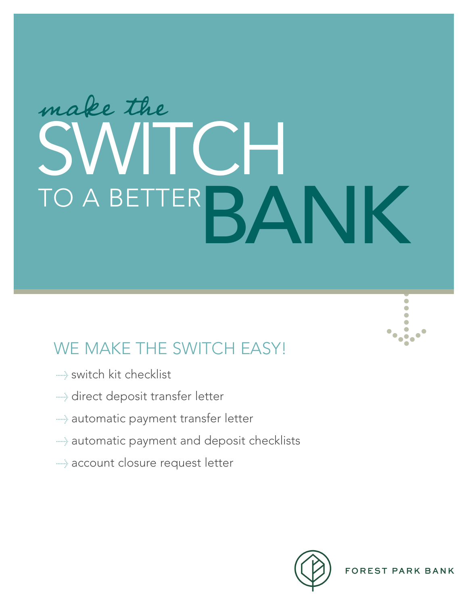# make the SWITCH RANK

## WE MAKE THE SWITCH EASY!

- $\rightarrow$  switch kit checklist
- > direct deposit transfer letter
- > automatic payment transfer letter
- > automatic payment and deposit checklists
- $\rightarrow$  account closure request letter



**Provide**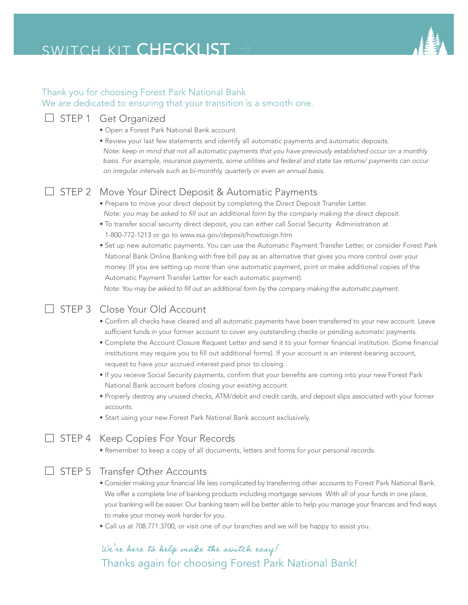## SWITCH KIT CHECKLIST



#### Thank you for choosing Forest Park National Bank We are dedicated to ensuring that your transition is a smooth one.



• Call us at 708.771.3700, or visit one of our branches and we will be happy to assist you.

to make your money work harder for you.

your banking will be easier. Our banking team will be better able to help you manage your finances and find ways

#### We're here to help make the switch easy! Thanks again for choosing Forest Park National Bank!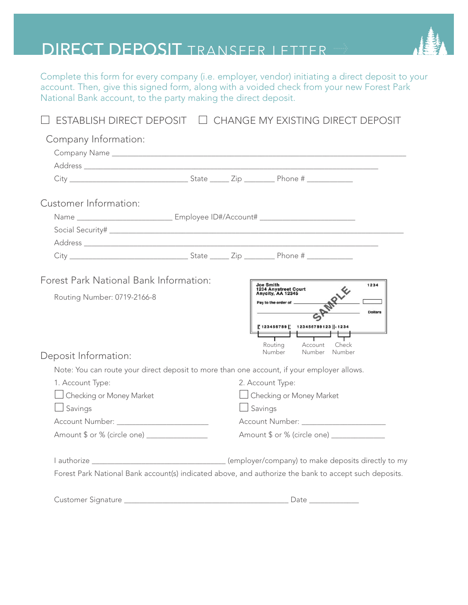## DIRECT DEPOSIT TRANSFER LETTER

Complete this form for every company (i.e. employer, vendor) initiating a direct deposit to your account. Then, give this signed form, along with a voided check from your new Forest Park National Bank account, to the party making the direct deposit.

| Company Information:                                                                                  |                                             |  |                                                        |                                   |                |  |
|-------------------------------------------------------------------------------------------------------|---------------------------------------------|--|--------------------------------------------------------|-----------------------------------|----------------|--|
|                                                                                                       |                                             |  |                                                        |                                   |                |  |
|                                                                                                       |                                             |  |                                                        |                                   |                |  |
|                                                                                                       |                                             |  |                                                        |                                   |                |  |
| Customer Information:                                                                                 |                                             |  |                                                        |                                   |                |  |
|                                                                                                       |                                             |  |                                                        |                                   |                |  |
|                                                                                                       |                                             |  |                                                        |                                   |                |  |
|                                                                                                       |                                             |  |                                                        |                                   |                |  |
|                                                                                                       |                                             |  |                                                        |                                   |                |  |
| Forest Park National Bank Information:                                                                |                                             |  |                                                        |                                   |                |  |
| Routing Number: 0719-2166-8                                                                           |                                             |  | Joe Smith<br>1234 Anystreet Court<br>Anycity, AA 12345 |                                   | 1234           |  |
|                                                                                                       |                                             |  | Pay to the order of ________                           |                                   | <b>Dollars</b> |  |
|                                                                                                       |                                             |  |                                                        | 123456789    123456789123    1234 |                |  |
|                                                                                                       |                                             |  |                                                        |                                   |                |  |
|                                                                                                       |                                             |  | Routing<br>Number                                      | Account<br>Check<br>Number Number |                |  |
| Deposit Information:                                                                                  |                                             |  |                                                        |                                   |                |  |
| Note: You can route your direct deposit to more than one account, if your employer allows.            |                                             |  |                                                        |                                   |                |  |
| 1. Account Type:                                                                                      |                                             |  | 2. Account Type:                                       |                                   |                |  |
| Checking or Money Market                                                                              |                                             |  | □ Checking or Money Market                             |                                   |                |  |
| $\Box$ Savings                                                                                        | $\Box$ Savings                              |  |                                                        |                                   |                |  |
| Account Number: Network and Account Number:                                                           |                                             |  |                                                        |                                   |                |  |
| Amount \$ or % (circle one) ________________                                                          | Amount \$ or % (circle one) _______________ |  |                                                        |                                   |                |  |
|                                                                                                       |                                             |  |                                                        |                                   |                |  |
| Forest Park National Bank account(s) indicated above, and authorize the bank to accept such deposits. |                                             |  |                                                        |                                   |                |  |
|                                                                                                       |                                             |  |                                                        |                                   |                |  |
|                                                                                                       |                                             |  |                                                        |                                   |                |  |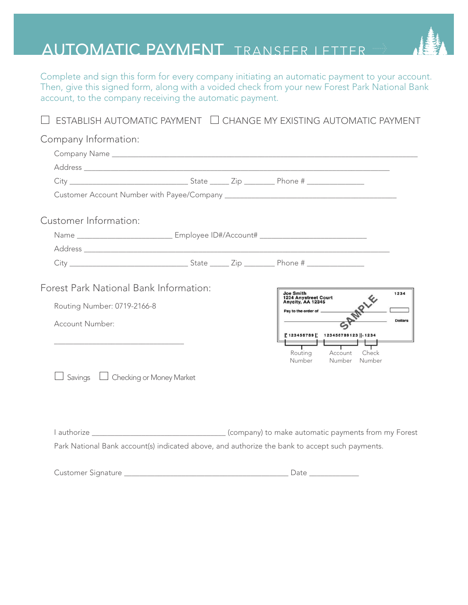## AUTOMATIC PAYMENT TRANSFER LETTER

Complete and sign this form for every company initiating an automatic payment to your account. Then, give this signed form, along with a voided check from your new Forest Park National Bank account, to the company receiving the automatic payment.

|                                                                                           |  | ESTABLISH AUTOMATIC PAYMENT □ CHANGE MY EXISTING AUTOMATIC PAYMENT                                                                                                                                                            |
|-------------------------------------------------------------------------------------------|--|-------------------------------------------------------------------------------------------------------------------------------------------------------------------------------------------------------------------------------|
| Company Information:                                                                      |  |                                                                                                                                                                                                                               |
|                                                                                           |  |                                                                                                                                                                                                                               |
|                                                                                           |  |                                                                                                                                                                                                                               |
|                                                                                           |  |                                                                                                                                                                                                                               |
|                                                                                           |  |                                                                                                                                                                                                                               |
| Customer Information:                                                                     |  |                                                                                                                                                                                                                               |
|                                                                                           |  |                                                                                                                                                                                                                               |
|                                                                                           |  | Address entertainment and the contract of the contract of the contract of the contract of the contract of the contract of the contract of the contract of the contract of the contract of the contract of the contract of the |
|                                                                                           |  |                                                                                                                                                                                                                               |
| Routing Number: 0719-2166-8<br>Account Number:<br>Savings $\Box$ Checking or Money Market |  | <b>Joe Smith</b><br>1234<br>1234 Anystreet Court<br>Anycity, AA 12345<br>Pay to the order of ______<br><b>Dollars</b><br>   123456789    123456789123    1234<br>Routing<br>Account<br>Check<br>Number Number<br>Number       |
|                                                                                           |  | Park National Bank account(s) indicated above, and authorize the bank to accept such payments.                                                                                                                                |
|                                                                                           |  |                                                                                                                                                                                                                               |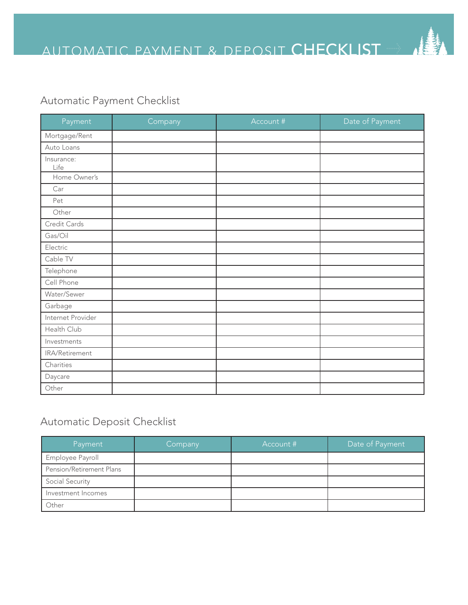### Automatic Payment Checklist

| Payment            | Company | Account # | Date of Payment |
|--------------------|---------|-----------|-----------------|
| Mortgage/Rent      |         |           |                 |
| Auto Loans         |         |           |                 |
| Insurance:<br>Life |         |           |                 |
| Home Owner's       |         |           |                 |
| Car                |         |           |                 |
| Pet                |         |           |                 |
| Other              |         |           |                 |
| Credit Cards       |         |           |                 |
| Gas/Oil            |         |           |                 |
| Electric           |         |           |                 |
| Cable TV           |         |           |                 |
| Telephone          |         |           |                 |
| Cell Phone         |         |           |                 |
| Water/Sewer        |         |           |                 |
| Garbage            |         |           |                 |
| Internet Provider  |         |           |                 |
| Health Club        |         |           |                 |
| Investments        |         |           |                 |
| IRA/Retirement     |         |           |                 |
| Charities          |         |           |                 |
| Daycare            |         |           |                 |
| Other              |         |           |                 |

#### Automatic Deposit Checklist

| Payment                  | Company | Account # | Date of Payment |
|--------------------------|---------|-----------|-----------------|
| Employee Payroll         |         |           |                 |
| Pension/Retirement Plans |         |           |                 |
| Social Security          |         |           |                 |
| Investment Incomes       |         |           |                 |
| Other                    |         |           |                 |